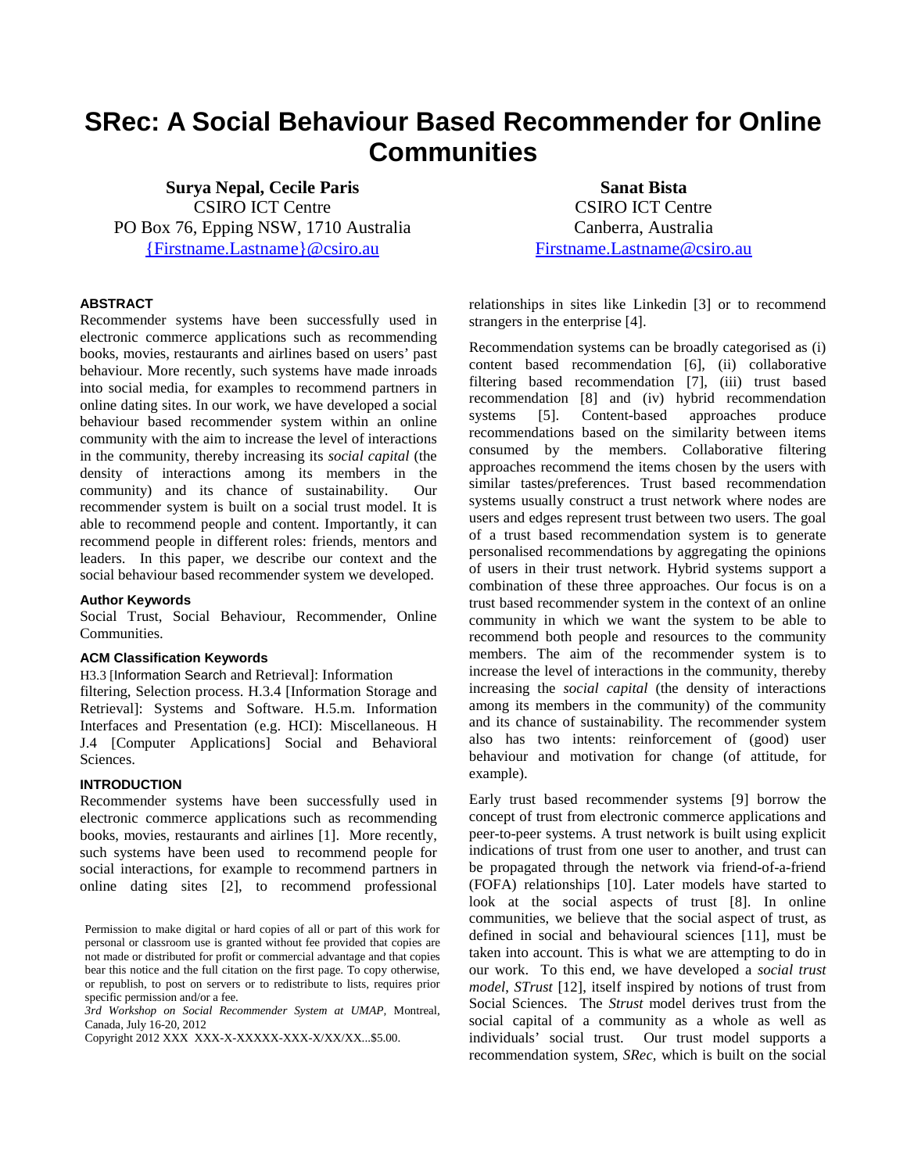# **SRec: A Social Behaviour Based Recommender for Online Communities**

**Surya Nepal, Cecile Paris** CSIRO ICT Centre PO Box 76, Epping NSW, 1710 Australia [{Firstname.Lastname}@csiro.au](mailto:%7bFirstname.Lastname%7d@csiro.au)

**Sanat Bista** CSIRO ICT Centre Canberra, Australia [Firstname.Lastname@csiro.au](mailto:Firstname.Lastname@csiro.au)

## **ABSTRACT**

Recommender systems have been successfully used in electronic commerce applications such as recommending books, movies, restaurants and airlines based on users' past behaviour. More recently, such systems have made inroads into social media, for examples to recommend partners in online dating sites. In our work, we have developed a social behaviour based recommender system within an online community with the aim to increase the level of interactions in the community, thereby increasing its *social capital* (the density of interactions among its members in the community) and its chance of sustainability. Our recommender system is built on a social trust model. It is able to recommend people and content. Importantly, it can recommend people in different roles: friends, mentors and leaders. In this paper, we describe our context and the social behaviour based recommender system we developed.

#### **Author Keywords**

Social Trust, Social Behaviour, Recommender, Online Communities.

#### **ACM Classification Keywords**

H3.3 [Information Search and Retrieval]: Information

filtering, Selection process. H.3.4 [Information Storage and Retrieval]: Systems and Software. H.5.m. Information Interfaces and Presentation (e.g. HCI): Miscellaneous. H J.4 [Computer Applications] Social and Behavioral Sciences.

# **INTRODUCTION**

Recommender systems have been successfully used in electronic commerce applications such as recommending books, movies, restaurants and airlines [\[1\]](#page-4-0). More recently, such systems have been used to recommend people for social interactions, for example to recommend partners in online dating sites [\[2\]](#page-4-1), to recommend professional

*3rd Workshop on Social Recommender System at UMAP,* Montreal, Canada, July 16-20, 2012

Copyright 2012 XXX XXX-X-XXXXX-XXX-X/XX/XX...\$5.00.

relationships in sites like Linkedin [\[3\]](#page-4-2) or to recommend strangers in the enterprise [\[4\]](#page-4-3).

Recommendation systems can be broadly categorised as (i) content based recommendation [\[6\]](#page-5-0), (ii) collaborative filtering based recommendation [\[7\]](#page-5-1), (iii) trust based recommendation [\[8\]](#page-5-2) and (iv) hybrid recommendation systems [\[5\]](#page-5-3). Content-based approaches produce recommendations based on the similarity between items consumed by the members. Collaborative filtering approaches recommend the items chosen by the users with similar tastes/preferences. Trust based recommendation systems usually construct a trust network where nodes are users and edges represent trust between two users. The goal of a trust based recommendation system is to generate personalised recommendations by aggregating the opinions of users in their trust network. Hybrid systems support a combination of these three approaches. Our focus is on a trust based recommender system in the context of an online community in which we want the system to be able to recommend both people and resources to the community members. The aim of the recommender system is to increase the level of interactions in the community, thereby increasing the *social capital* (the density of interactions among its members in the community) of the community and its chance of sustainability. The recommender system also has two intents: reinforcement of (good) user behaviour and motivation for change (of attitude, for example).

Early trust based recommender systems [\[9\]](#page-5-4) borrow the concept of trust from electronic commerce applications and peer-to-peer systems. A trust network is built using explicit indications of trust from one user to another, and trust can be propagated through the network via friend-of-a-friend (FOFA) relationships [\[10\]](#page-5-5). Later models have started to look at the social aspects of trust [\[8\]](#page-5-2). In online communities, we believe that the social aspect of trust, as defined in social and behavioural sciences [\[11\]](#page-5-6), must be taken into account. This is what we are attempting to do in our work. To this end, we have developed a *social trust model*, *STrust* [\[12\]](#page-5-7), itself inspired by notions of trust from Social Sciences. The *Strust* model derives trust from the social capital of a community as a whole as well as individuals' social trust. Our trust model supports a recommendation system, *SRec,* which is built on the social

Permission to make digital or hard copies of all or part of this work for personal or classroom use is granted without fee provided that copies are not made or distributed for profit or commercial advantage and that copies bear this notice and the full citation on the first page. To copy otherwise, or republish, to post on servers or to redistribute to lists, requires prior specific permission and/or a fee.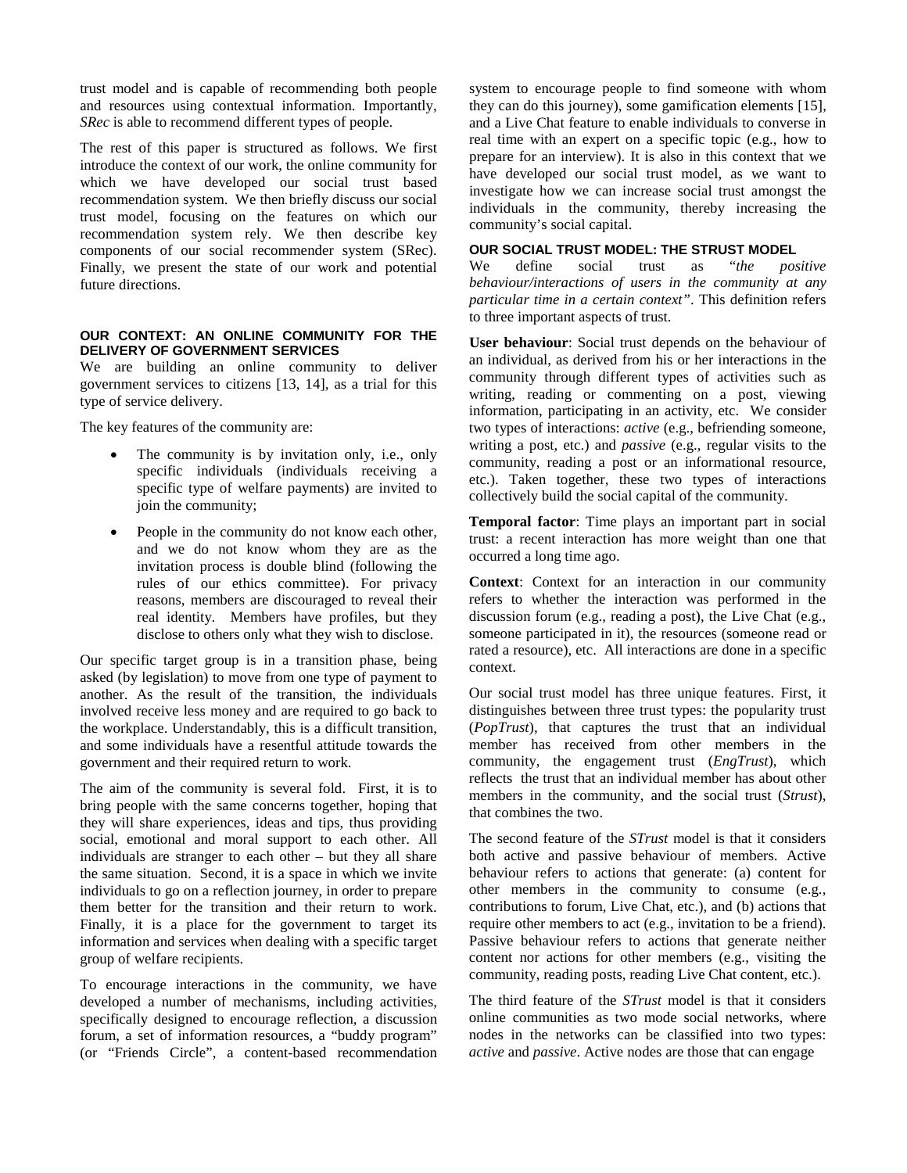trust model and is capable of recommending both people and resources using contextual information. Importantly, *SRec* is able to recommend different types of people.

The rest of this paper is structured as follows. We first introduce the context of our work, the online community for which we have developed our social trust based recommendation system. We then briefly discuss our social trust model, focusing on the features on which our recommendation system rely. We then describe key components of our social recommender system (SRec). Finally, we present the state of our work and potential future directions.

## **OUR CONTEXT: AN ONLINE COMMUNITY FOR THE DELIVERY OF GOVERNMENT SERVICES**

We are building an online community to deliver government services to citizens [\[13,](#page-5-8) [14\]](#page-5-9), as a trial for this type of service delivery.

The key features of the community are:

- The community is by invitation only, i.e., only specific individuals (individuals receiving a specific type of welfare payments) are invited to join the community;
- People in the community do not know each other, and we do not know whom they are as the invitation process is double blind (following the rules of our ethics committee). For privacy reasons, members are discouraged to reveal their real identity. Members have profiles, but they disclose to others only what they wish to disclose.

Our specific target group is in a transition phase, being asked (by legislation) to move from one type of payment to another. As the result of the transition, the individuals involved receive less money and are required to go back to the workplace. Understandably, this is a difficult transition, and some individuals have a resentful attitude towards the government and their required return to work.

The aim of the community is several fold. First, it is to bring people with the same concerns together, hoping that they will share experiences, ideas and tips, thus providing social, emotional and moral support to each other. All individuals are stranger to each other – but they all share the same situation. Second, it is a space in which we invite individuals to go on a reflection journey, in order to prepare them better for the transition and their return to work. Finally, it is a place for the government to target its information and services when dealing with a specific target group of welfare recipients.

To encourage interactions in the community, we have developed a number of mechanisms, including activities, specifically designed to encourage reflection, a discussion forum, a set of information resources, a "buddy program" (or "Friends Circle", a content-based recommendation system to encourage people to find someone with whom they can do this journey), some gamification elements [\[15\]](#page-5-10), and a Live Chat feature to enable individuals to converse in real time with an expert on a specific topic (e.g., how to prepare for an interview). It is also in this context that we have developed our social trust model, as we want to investigate how we can increase social trust amongst the individuals in the community, thereby increasing the community's social capital.

#### **OUR SOCIAL TRUST MODEL: THE STRUST MODEL**

We define social trust as "*the positive behaviour/interactions of users in the community at any particular time in a certain context"*. This definition refers to three important aspects of trust.

**User behaviour**: Social trust depends on the behaviour of an individual, as derived from his or her interactions in the community through different types of activities such as writing, reading or commenting on a post, viewing information, participating in an activity, etc. We consider two types of interactions: *active* (e.g., befriending someone, writing a post, etc.) and *passive* (e.g., regular visits to the community, reading a post or an informational resource, etc.). Taken together, these two types of interactions collectively build the social capital of the community.

**Temporal factor**: Time plays an important part in social trust: a recent interaction has more weight than one that occurred a long time ago.

**Context**: Context for an interaction in our community refers to whether the interaction was performed in the discussion forum (e.g., reading a post), the Live Chat (e.g., someone participated in it), the resources (someone read or rated a resource), etc. All interactions are done in a specific context.

Our social trust model has three unique features. First, it distinguishes between three trust types: the popularity trust (*PopTrust*), that captures the trust that an individual member has received from other members in the community, the engagement trust (*EngTrust*), which reflects the trust that an individual member has about other members in the community, and the social trust (*Strust*), that combines the two.

The second feature of the *STrust* model is that it considers both active and passive behaviour of members. Active behaviour refers to actions that generate: (a) content for other members in the community to consume (e.g., contributions to forum, Live Chat, etc.), and (b) actions that require other members to act (e.g., invitation to be a friend). Passive behaviour refers to actions that generate neither content nor actions for other members (e.g., visiting the community, reading posts, reading Live Chat content, etc.).

The third feature of the *STrust* model is that it considers online communities as two mode social networks, where nodes in the networks can be classified into two types: *active* and *passive*. Active nodes are those that can engage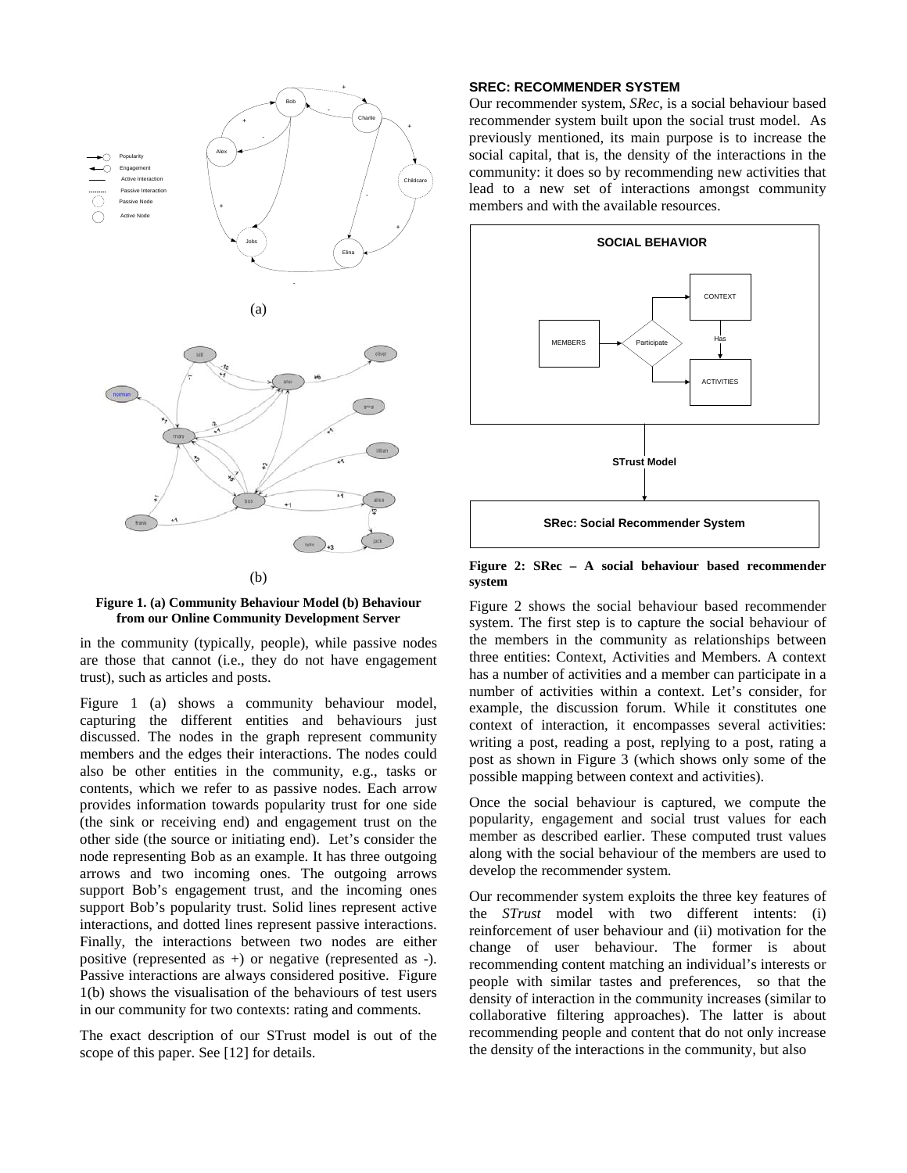



in the community (typically, people), while passive nodes are those that cannot (i.e., they do not have engagement trust), such as articles and posts.

Figure 1 (a) shows a community behaviour model, capturing the different entities and behaviours just discussed. The nodes in the graph represent community members and the edges their interactions. The nodes could also be other entities in the community, e.g., tasks or contents, which we refer to as passive nodes. Each arrow provides information towards popularity trust for one side (the sink or receiving end) and engagement trust on the other side (the source or initiating end). Let's consider the node representing Bob as an example. It has three outgoing arrows and two incoming ones. The outgoing arrows support Bob's engagement trust, and the incoming ones support Bob's popularity trust. Solid lines represent active interactions, and dotted lines represent passive interactions. Finally, the interactions between two nodes are either positive (represented as +) or negative (represented as -). Passive interactions are always considered positive. Figure 1(b) shows the visualisation of the behaviours of test users in our community for two contexts: rating and comments.

The exact description of our STrust model is out of the scope of this paper. See [\[12\]](#page-5-7) for details.

#### **SREC: RECOMMENDER SYSTEM**

Our recommender system, *SRec*, is a social behaviour based recommender system built upon the social trust model. As previously mentioned, its main purpose is to increase the social capital, that is, the density of the interactions in the community: it does so by recommending new activities that lead to a new set of interactions amongst community members and with the available resources.



#### **Figure 2: SRec – A social behaviour based recommender system**

Figure 2 shows the social behaviour based recommender system. The first step is to capture the social behaviour of the members in the community as relationships between three entities: Context, Activities and Members. A context has a number of activities and a member can participate in a number of activities within a context. Let's consider, for example, the discussion forum. While it constitutes one context of interaction, it encompasses several activities: writing a post, reading a post, replying to a post, rating a post as shown in Figure 3 (which shows only some of the possible mapping between context and activities).

Once the social behaviour is captured, we compute the popularity, engagement and social trust values for each member as described earlier. These computed trust values along with the social behaviour of the members are used to develop the recommender system.

Our recommender system exploits the three key features of the *STrust* model with two different intents: (i) reinforcement of user behaviour and (ii) motivation for the change of user behaviour. The former is about recommending content matching an individual's interests or people with similar tastes and preferences, so that the density of interaction in the community increases (similar to collaborative filtering approaches). The latter is about recommending people and content that do not only increase the density of the interactions in the community, but also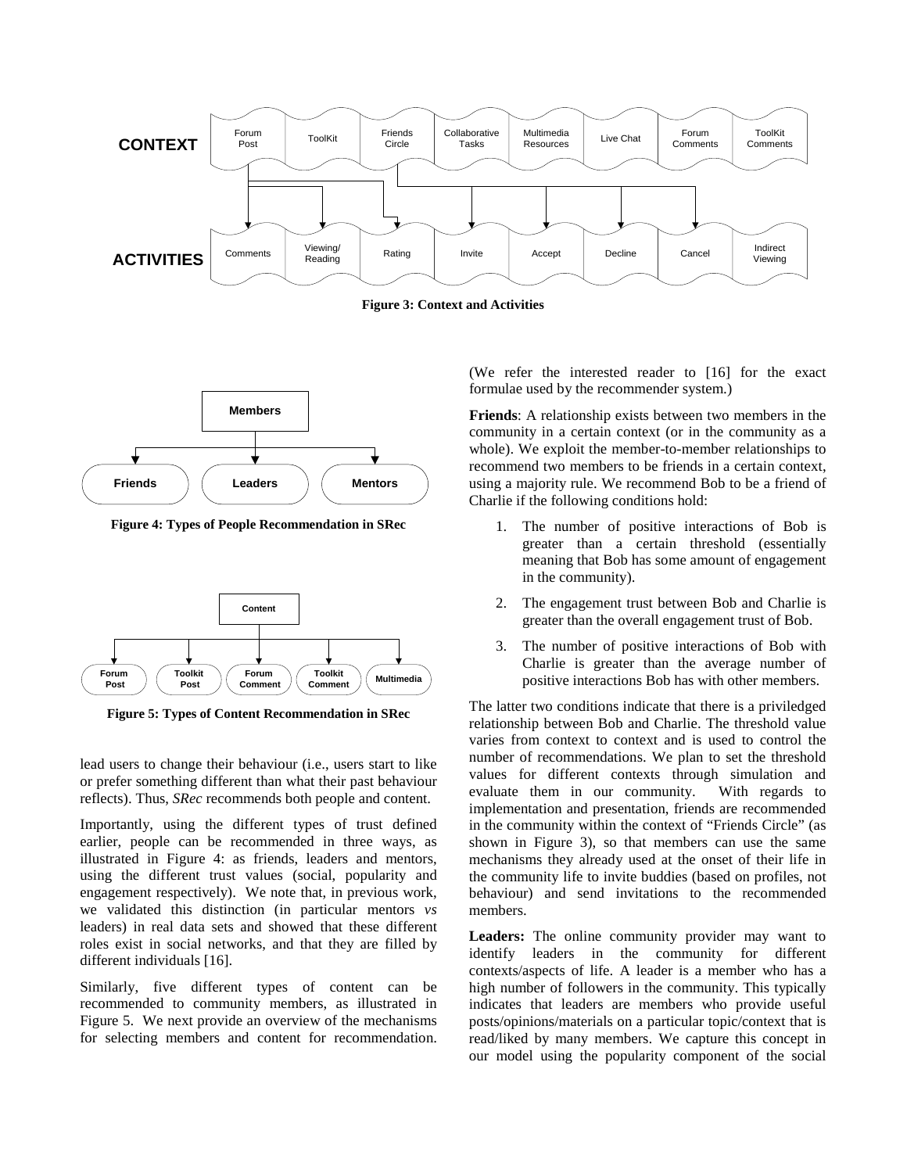

**Figure 3: Context and Activities**



**Figure 4: Types of People Recommendation in SRec**



**Figure 5: Types of Content Recommendation in SRec**

lead users to change their behaviour (i.e., users start to like or prefer something different than what their past behaviour reflects). Thus, *SRec* recommends both people and content.

Importantly, using the different types of trust defined earlier, people can be recommended in three ways, as illustrated in Figure 4: as friends, leaders and mentors, using the different trust values (social, popularity and engagement respectively). We note that, in previous work, we validated this distinction (in particular mentors *vs* leaders) in real data sets and showed that these different roles exist in social networks, and that they are filled by different individuals [\[16\]](#page-5-11).

Similarly, five different types of content can be recommended to community members, as illustrated in Figure 5. We next provide an overview of the mechanisms for selecting members and content for recommendation. (We refer the interested reader to [\[16\]](#page-5-11) for the exact formulae used by the recommender system.)

**Friends**: A relationship exists between two members in the community in a certain context (or in the community as a whole). We exploit the member-to-member relationships to recommend two members to be friends in a certain context, using a majority rule. We recommend Bob to be a friend of Charlie if the following conditions hold:

- 1. The number of positive interactions of Bob is greater than a certain threshold (essentially meaning that Bob has some amount of engagement in the community).
- 2. The engagement trust between Bob and Charlie is greater than the overall engagement trust of Bob.
- 3. The number of positive interactions of Bob with Charlie is greater than the average number of positive interactions Bob has with other members.

The latter two conditions indicate that there is a priviledged relationship between Bob and Charlie. The threshold value varies from context to context and is used to control the number of recommendations. We plan to set the threshold values for different contexts through simulation and evaluate them in our community. With regards to implementation and presentation, friends are recommended in the community within the context of "Friends Circle" (as shown in Figure 3), so that members can use the same mechanisms they already used at the onset of their life in the community life to invite buddies (based on profiles, not behaviour) and send invitations to the recommended members.

**Leaders:** The online community provider may want to identify leaders in the community for different contexts/aspects of life. A leader is a member who has a high number of followers in the community. This typically indicates that leaders are members who provide useful posts/opinions/materials on a particular topic/context that is read/liked by many members. We capture this concept in our model using the popularity component of the social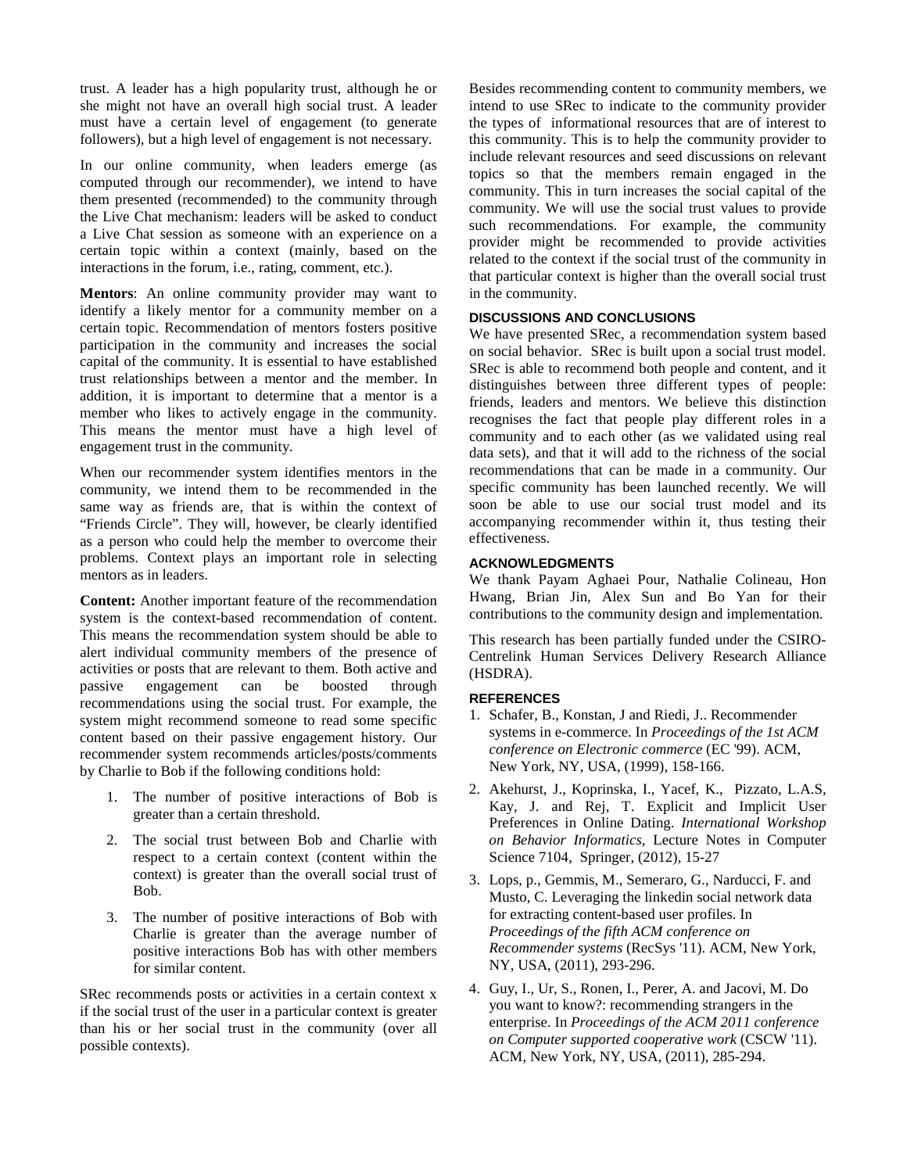trust. A leader has a high popularity trust, although he or she might not have an overall high social trust. A leader must have a certain level of engagement (to generate followers), but a high level of engagement is not necessary.

In our online community, when leaders emerge (as computed through our recommender), we intend to have them presented (recommended) to the community through the Live Chat mechanism: leaders will be asked to conduct a Live Chat session as someone with an experience on a certain topic within a context (mainly, based on the interactions in the forum, i.e., rating, comment, etc.).

**Mentors**: An online community provider may want to identify a likely mentor for a community member on a certain topic. Recommendation of mentors fosters positive participation in the community and increases the social capital of the community. It is essential to have established trust relationships between a mentor and the member. In addition, it is important to determine that a mentor is a member who likes to actively engage in the community. This means the mentor must have a high level of engagement trust in the community.

When our recommender system identifies mentors in the community, we intend them to be recommended in the same way as friends are, that is within the context of "Friends Circle". They will, however, be clearly identified as a person who could help the member to overcome their problems. Context plays an important role in selecting mentors as in leaders.

**Content:** Another important feature of the recommendation system is the context-based recommendation of content. This means the recommendation system should be able to alert individual community members of the presence of activities or posts that are relevant to them. Both active and passive engagement can be boosted through recommendations using the social trust. For example, the system might recommend someone to read some specific content based on their passive engagement history. Our recommender system recommends articles/posts/comments by Charlie to Bob if the following conditions hold:

- 1. The number of positive interactions of Bob is greater than a certain threshold.
- 2. The social trust between Bob and Charlie with respect to a certain context (content within the context) is greater than the overall social trust of Bob.
- 3. The number of positive interactions of Bob with Charlie is greater than the average number of positive interactions Bob has with other members for similar content.

SRec recommends posts or activities in a certain context x if the social trust of the user in a particular context is greater than his or her social trust in the community (over all possible contexts).

Besides recommending content to community members, we intend to use SRec to indicate to the community provider the types of informational resources that are of interest to this community. This is to help the community provider to include relevant resources and seed discussions on relevant topics so that the members remain engaged in the community. This in turn increases the social capital of the community. We will use the social trust values to provide such recommendations. For example, the community provider might be recommended to provide activities related to the context if the social trust of the community in that particular context is higher than the overall social trust in the community.

## **DISCUSSIONS AND CONCLUSIONS**

We have presented SRec, a recommendation system based on social behavior. SRec is built upon a social trust model. SRec is able to recommend both people and content, and it distinguishes between three different types of people: friends, leaders and mentors. We believe this distinction recognises the fact that people play different roles in a community and to each other (as we validated using real data sets), and that it will add to the richness of the social recommendations that can be made in a community. Our specific community has been launched recently. We will soon be able to use our social trust model and its accompanying recommender within it, thus testing their effectiveness.

## **ACKNOWLEDGMENTS**

We thank Payam Aghaei Pour, Nathalie Colineau, Hon Hwang, Brian Jin, Alex Sun and Bo Yan for their contributions to the community design and implementation.

This research has been partially funded under the CSIRO-Centrelink Human Services Delivery Research Alliance (HSDRA).

# **REFERENCES**

- <span id="page-4-0"></span>1. Schafer, B., Konstan, J and Riedi, J.. Recommender systems in e-commerce. In *Proceedings of the 1st ACM conference on Electronic commerce* (EC '99). ACM, New York, NY, USA, (1999), 158-166.
- <span id="page-4-1"></span>2. [Akehurst,](http://www.informatik.uni-trier.de/~ley/db/indices/a-tree/a/Akehurst:Joshua.html) J., [Koprinska,](http://www.informatik.uni-trier.de/~ley/db/indices/a-tree/k/Koprinska:Irena.html) I., Yacef, K., [Pizzato,](http://www.informatik.uni-trier.de/~ley/db/indices/a-tree/p/Pizzato:Luiz_Augusto_Sangoi.html) L.A.S, [Kay,](http://www.informatik.uni-trier.de/~ley/db/indices/a-tree/k/Kay:Judy.html) J. and [Rej,](http://www.informatik.uni-trier.de/~ley/db/indices/a-tree/r/Rej:Tomek.html) T. Explicit and Implicit User Preferences in Online Dating. *International Workshop on Behavior Informatics,* [Lecture Notes in Computer](http://www.informatik.uni-trier.de/~ley/db/journals/lncs.html)  [Science](http://www.informatik.uni-trier.de/~ley/db/journals/lncs.html) 7104, Springer, (2012), 15-27
- <span id="page-4-2"></span>3. Lops, p., Gemmis, M., Semeraro, G., Narducci, F. and Musto, C. Leveraging the linkedin social network data for extracting content-based user profiles. In *Proceedings of the fifth ACM conference on Recommender systems* (RecSys '11). ACM, New York, NY, USA, (2011), 293-296.
- <span id="page-4-3"></span>4. Guy, I., Ur, S., Ronen, I., Perer, A. and Jacovi, M. Do you want to know?: recommending strangers in the enterprise. In *Proceedings of the ACM 2011 conference on Computer supported cooperative work* (CSCW '11). ACM, New York, NY, USA, (2011), 285-294.